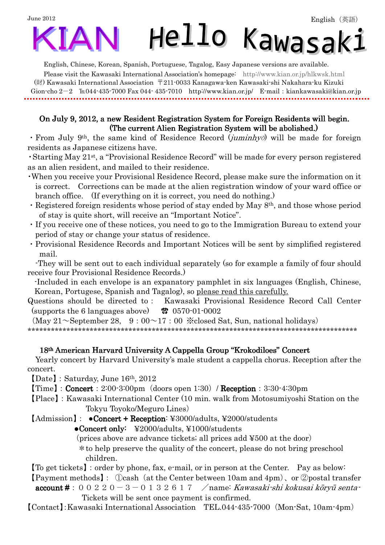## June 2012 Hello Kawasaki **IA**

English, Chinese, Korean, Spanish, Portuguese, Tagalog, Easy Japanese versions are available.

Please visit the Kawasaki International Association's homepage: http://www.kian.or.jp/hlkwsk.html (財) Kawasaki International Association 〒211-0033 Kanagawa-ken Kawasaki-shi Nakahara-ku Kizuki Gion-cho 2-2 ℡044-435-7000 Fax 044- 435-7010 http://www.kian.or.jp/ E-mail:kiankawasaki@kian.or.jp

## On July 9, 2012, a new Resident Registration System for Foreign Residents will begin. (The current Alien Registration System will be abolished.)

• From July 9<sup>th</sup>, the same kind of Residence Record (*juminhyō*) will be made for foreign residents as Japanese citizens have.

・Starting May 21st, a "Provisional Residence Record" will be made for every person registered as an alien resident, and mailed to their residence.

- ・When you receive your Provisional Residence Record, please make sure the information on it is correct. Corrections can be made at the alien registration window of your ward office or branch office. (If everything on it is correct, you need do nothing.)
- ・Registered foreign residents whose period of stay ended by May 8th, and those whose period of stay is quite short, will receive an "Important Notice".
- ・If you receive one of these notices, you need to go to the Immigration Bureau to extend your period of stay or change your status of residence.
- ・Provisional Residence Records and Important Notices will be sent by simplified registered mail.

-They will be sent out to each individual separately (so for example a family of four should receive four Provisional Residence Records.)

-Included in each envelope is an expanatory pamphlet in six languages (English, Chinese, Korean, Portugese, Spanish and Tagalog), so please read this carefully.

Questions should be directed to: Kawasaki Provisional Residence Record Call Center (supports the 6 languages above) ☎ 0570-01-0002

 $(May 21 \sim September 28, 9:00 \sim 17:00$  \*closed Sat, Sun, national holidays) \*\*\*\*\*\*\*\*\*\*\*\*\*\*\*\*\*\*\*\*\*\*\*\*\*\*\*\*\*\*\*\*\*\*\*\*\*\*\*\*\*\*\*\*\*\*\*\*\*\*\*\*\*\*\*\*\*\*\*\*\*\*\*\*\*\*\*\*\*\*\*\*\*\*\*\*\*\*\*\*\*\*\*\*\*

18<sup>th</sup> American Harvard University A Cappella Group "Krokodiloes" Concert Yearly concert by Harvard University's male student a cappella chorus. Reception after the concert.

【Date】:Saturday, June 16th, 2012

۹

 $\text{[Time]}: \text{Concert}: 2:00-3:00 \text{pm} \text{ (doors open 1:30) / Reception}: 3:30-4:30 \text{pm}$ 

【Place】:Kawasaki International Center (10 min. walk from Motosumiyoshi Station on the Tokyu Toyoko/Meguro Lines)

 $[Admission] : \bullet$ Concert + Reception: ¥3000/adults, ¥2000/students

●Concert only: ¥2000/adults, ¥1000/students

(prices above are advance tickets; all prices add ¥500 at the door)

\*to help preserve the quality of the concert, please do not bring preschool children.

【To get tickets】:order by phone, fax, e-mail, or in person at the Center. Pay as below:

【Payment methods】: ①cash(at the Center between 10am and 4pm)、or ②postal transfer

**account #**:  $00220-3-0132617$  /name: Kawasaki-shi kokusai kōryū senta-Tickets will be sent once payment is confirmed.

【Contact】:Kawasaki International Association TEL.044-435-7000(Mon-Sat, 10am-4pm)